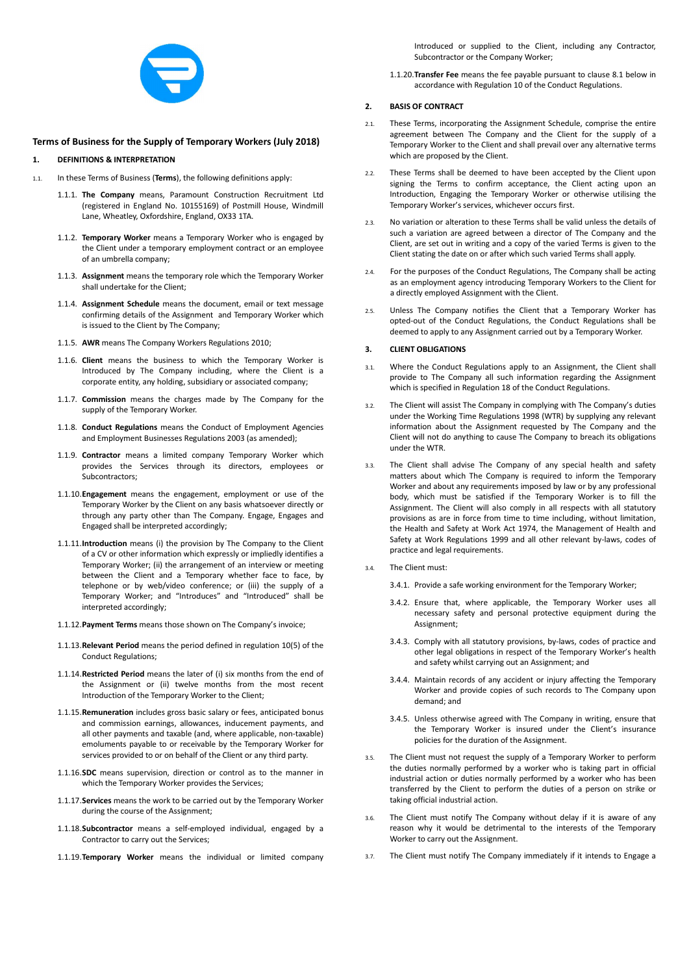

# Terms of Business for the Supply of Temporary Workers (July 2018)

# 1. DEFINITIONS & INTERPRETATION

- 1.1. In these Terms of Business (Terms), the following definitions apply:
	- 1.1.1. The Company means, Paramount Construction Recruitment Ltd (registered in England No. 10155169) of Postmill House, Windmill Lane, Wheatley, Oxfordshire, England, OX33 1TA.
	- 1.1.2. Temporary Worker means a Temporary Worker who is engaged by the Client under a temporary employment contract or an employee of an umbrella company;
	- 1.1.3. Assignment means the temporary role which the Temporary Worker shall undertake for the Client;
	- 1.1.4. Assignment Schedule means the document, email or text message confirming details of the Assignment and Temporary Worker which is issued to the Client by The Company;
	- 1.1.5. AWR means The Company Workers Regulations 2010;
	- 1.1.6. Client means the business to which the Temporary Worker is Introduced by The Company including, where the Client is a corporate entity, any holding, subsidiary or associated company;
	- 1.1.7. Commission means the charges made by The Company for the supply of the Temporary Worker.
	- 1.1.8. Conduct Regulations means the Conduct of Employment Agencies and Employment Businesses Regulations 2003 (as amended);
	- 1.1.9. Contractor means a limited company Temporary Worker which provides the Services through its directors, employees or Subcontractors;
	- 1.1.10.Engagement means the engagement, employment or use of the Temporary Worker by the Client on any basis whatsoever directly or through any party other than The Company. Engage, Engages and Engaged shall be interpreted accordingly;
	- 1.1.11.Introduction means (i) the provision by The Company to the Client of a CV or other information which expressly or impliedly identifies a Temporary Worker; (ii) the arrangement of an interview or meeting between the Client and a Temporary whether face to face, by telephone or by web/video conference; or (iii) the supply of a Temporary Worker; and "Introduces" and "Introduced" shall be interpreted accordingly;
	- 1.1.12.Payment Terms means those shown on The Company's invoice;
	- 1.1.13.Relevant Period means the period defined in regulation 10(5) of the Conduct Regulations;
	- 1.1.14.Restricted Period means the later of (i) six months from the end of the Assignment or (ii) twelve months from the most recent Introduction of the Temporary Worker to the Client;
	- 1.1.15.Remuneration includes gross basic salary or fees, anticipated bonus and commission earnings, allowances, inducement payments, and all other payments and taxable (and, where applicable, non-taxable) emoluments payable to or receivable by the Temporary Worker for services provided to or on behalf of the Client or any third party.
	- 1.1.16.SDC means supervision, direction or control as to the manner in which the Temporary Worker provides the Services:
	- 1.1.17.Services means the work to be carried out by the Temporary Worker during the course of the Assignment;
	- 1.1.18.Subcontractor means a self-employed individual, engaged by a Contractor to carry out the Services;
	- 1.1.19.Temporary Worker means the individual or limited company

Introduced or supplied to the Client, including any Contractor, Subcontractor or the Company Worker;

1.1.20.Transfer Fee means the fee payable pursuant to clause 8.1 below in accordance with Regulation 10 of the Conduct Regulations.

### 2. BASIS OF CONTRACT

- 2.1. These Terms, incorporating the Assignment Schedule, comprise the entire agreement between The Company and the Client for the supply of a Temporary Worker to the Client and shall prevail over any alternative terms which are proposed by the Client.
- 2.2. These Terms shall be deemed to have been accepted by the Client upon signing the Terms to confirm acceptance, the Client acting upon an Introduction, Engaging the Temporary Worker or otherwise utilising the Temporary Worker's services, whichever occurs first.
- 2.3. No variation or alteration to these Terms shall be valid unless the details of such a variation are agreed between a director of The Company and the Client, are set out in writing and a copy of the varied Terms is given to the Client stating the date on or after which such varied Terms shall apply.
- For the purposes of the Conduct Regulations, The Company shall be acting as an employment agency introducing Temporary Workers to the Client for a directly employed Assignment with the Client.
- 2.5. Unless The Company notifies the Client that a Temporary Worker has opted-out of the Conduct Regulations, the Conduct Regulations shall be deemed to apply to any Assignment carried out by a Temporary Worker.

# 3. CLIENT OBLIGATIONS

- 3.1. Where the Conduct Regulations apply to an Assignment, the Client shall provide to The Company all such information regarding the Assignment which is specified in Regulation 18 of the Conduct Regulations.
- 3.2. The Client will assist The Company in complying with The Company's duties under the Working Time Regulations 1998 (WTR) by supplying any relevant information about the Assignment requested by The Company and the Client will not do anything to cause The Company to breach its obligations under the WTR.
- 3.3. The Client shall advise The Company of any special health and safety matters about which The Company is required to inform the Temporary Worker and about any requirements imposed by law or by any professional body, which must be satisfied if the Temporary Worker is to fill the Assignment. The Client will also comply in all respects with all statutory provisions as are in force from time to time including, without limitation, the Health and Safety at Work Act 1974, the Management of Health and Safety at Work Regulations 1999 and all other relevant by-laws, codes of practice and legal requirements.
- The Client must:
	- 3.4.1. Provide a safe working environment for the Temporary Worker;
	- 3.4.2. Ensure that, where applicable, the Temporary Worker uses all necessary safety and personal protective equipment during the Assignment;
	- 3.4.3. Comply with all statutory provisions, by-laws, codes of practice and other legal obligations in respect of the Temporary Worker's health and safety whilst carrying out an Assignment; and
	- 3.4.4. Maintain records of any accident or injury affecting the Temporary Worker and provide copies of such records to The Company upon demand; and
	- 3.4.5. Unless otherwise agreed with The Company in writing, ensure that the Temporary Worker is insured under the Client's insurance policies for the duration of the Assignment.
- 3.5. The Client must not request the supply of a Temporary Worker to perform the duties normally performed by a worker who is taking part in official industrial action or duties normally performed by a worker who has been transferred by the Client to perform the duties of a person on strike or taking official industrial action.
- 3.6. The Client must notify The Company without delay if it is aware of any reason why it would be detrimental to the interests of the Temporary Worker to carry out the Assignment.
- 3.7. The Client must notify The Company immediately if it intends to Engage a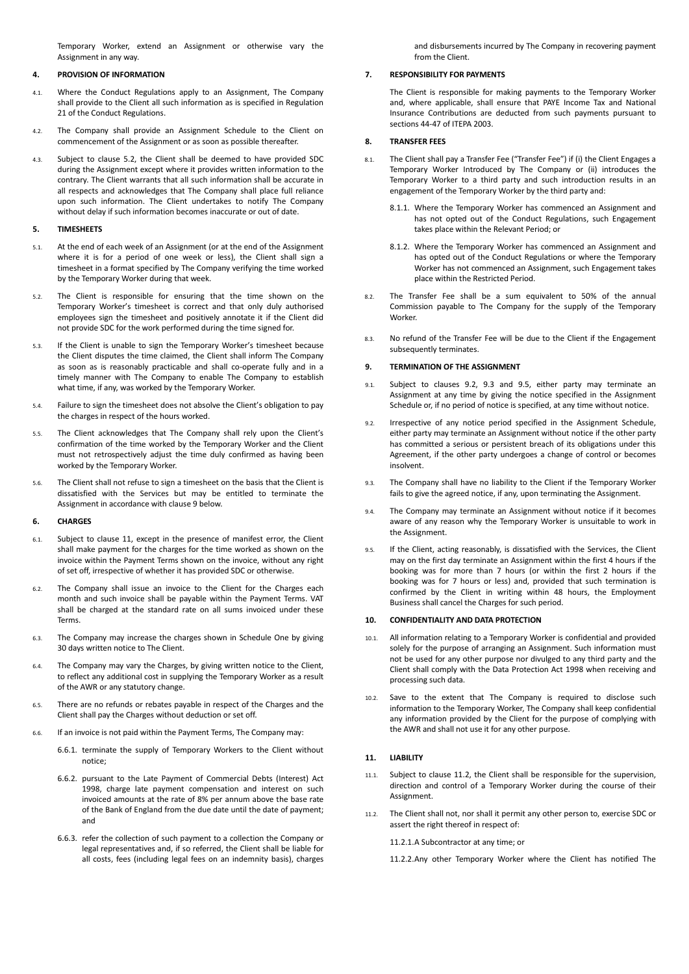Temporary Worker, extend an Assignment or otherwise vary the Assignment in any way.

## 4. PROVISION OF INFORMATION

- 4.1. Where the Conduct Regulations apply to an Assignment, The Company shall provide to the Client all such information as is specified in Regulation 21 of the Conduct Regulations.
- 4.2. The Company shall provide an Assignment Schedule to the Client on commencement of the Assignment or as soon as possible thereafter.
- 4.3. Subject to clause 5.2, the Client shall be deemed to have provided SDC during the Assignment except where it provides written information to the contrary. The Client warrants that all such information shall be accurate in all respects and acknowledges that The Company shall place full reliance upon such information. The Client undertakes to notify The Company without delay if such information becomes inaccurate or out of date.

## 5. TIMESHEETS

- 5.1. At the end of each week of an Assignment (or at the end of the Assignment where it is for a period of one week or less), the Client shall sign a timesheet in a format specified by The Company verifying the time worked by the Temporary Worker during that week.
- 5.2. The Client is responsible for ensuring that the time shown on the Temporary Worker's timesheet is correct and that only duly authorised employees sign the timesheet and positively annotate it if the Client did not provide SDC for the work performed during the time signed for.
- 5.3. If the Client is unable to sign the Temporary Worker's timesheet because the Client disputes the time claimed, the Client shall inform The Company as soon as is reasonably practicable and shall co-operate fully and in a timely manner with The Company to enable The Company to establish what time, if any, was worked by the Temporary Worker.
- 5.4. Failure to sign the timesheet does not absolve the Client's obligation to pay the charges in respect of the hours worked.
- 5.5. The Client acknowledges that The Company shall rely upon the Client's confirmation of the time worked by the Temporary Worker and the Client must not retrospectively adjust the time duly confirmed as having been worked by the Temporary Worker.
- 5.6. The Client shall not refuse to sign a timesheet on the basis that the Client is dissatisfied with the Services but may be entitled to terminate the Assignment in accordance with clause 9 below.

### 6. CHARGES

- 6.1. Subject to clause 11, except in the presence of manifest error, the Client shall make payment for the charges for the time worked as shown on the invoice within the Payment Terms shown on the invoice, without any right of set off, irrespective of whether it has provided SDC or otherwise.
- 6.2. The Company shall issue an invoice to the Client for the Charges each month and such invoice shall be payable within the Payment Terms. VAT shall be charged at the standard rate on all sums invoiced under these Terms.
- 6.3. The Company may increase the charges shown in Schedule One by giving 30 days written notice to The Client.
- 6.4. The Company may vary the Charges, by giving written notice to the Client, to reflect any additional cost in supplying the Temporary Worker as a result of the AWR or any statutory change.
- 6.5. There are no refunds or rebates payable in respect of the Charges and the Client shall pay the Charges without deduction or set off.
- 6.6. If an invoice is not paid within the Payment Terms, The Company may:
	- 6.6.1. terminate the supply of Temporary Workers to the Client without notice;
	- 6.6.2. pursuant to the Late Payment of Commercial Debts (Interest) Act 1998, charge late payment compensation and interest on such invoiced amounts at the rate of 8% per annum above the base rate of the Bank of England from the due date until the date of payment; and
	- 6.6.3. refer the collection of such payment to a collection the Company or legal representatives and, if so referred, the Client shall be liable for all costs, fees (including legal fees on an indemnity basis), charges

and disbursements incurred by The Company in recovering payment from the Client

# 7. RESPONSIBILITY FOR PAYMENTS

The Client is responsible for making payments to the Temporary Worker and, where applicable, shall ensure that PAYE Income Tax and National Insurance Contributions are deducted from such payments pursuant to sections 44-47 of ITEPA 2003.

# 8. TRANSFER FEES

- 8.1. The Client shall pay a Transfer Fee ("Transfer Fee") if (i) the Client Engages a Temporary Worker Introduced by The Company or (ii) introduces the Temporary Worker to a third party and such introduction results in an engagement of the Temporary Worker by the third party and:
	- 8.1.1. Where the Temporary Worker has commenced an Assignment and has not opted out of the Conduct Regulations, such Engagement takes place within the Relevant Period; or
	- 8.1.2. Where the Temporary Worker has commenced an Assignment and has opted out of the Conduct Regulations or where the Temporary Worker has not commenced an Assignment, such Engagement takes place within the Restricted Period.
- 8.2. The Transfer Fee shall be a sum equivalent to 50% of the annual Commission payable to The Company for the supply of the Temporary Worker.
- 8.3. No refund of the Transfer Fee will be due to the Client if the Engagement subsequently terminates.

## 9. TERMINATION OF THE ASSIGNMENT

- 9.1. Subject to clauses 9.2, 9.3 and 9.5, either party may terminate an Assignment at any time by giving the notice specified in the Assignment Schedule or, if no period of notice is specified, at any time without notice.
- 9.2. Irrespective of any notice period specified in the Assignment Schedule, either party may terminate an Assignment without notice if the other party has committed a serious or persistent breach of its obligations under this Agreement, if the other party undergoes a change of control or becomes insolvent.
- 9.3. The Company shall have no liability to the Client if the Temporary Worker fails to give the agreed notice, if any, upon terminating the Assignment.
- 9.4. The Company may terminate an Assignment without notice if it becomes aware of any reason why the Temporary Worker is unsuitable to work in the Assignment.
- 9.5. If the Client, acting reasonably, is dissatisfied with the Services, the Client may on the first day terminate an Assignment within the first 4 hours if the booking was for more than 7 hours (or within the first 2 hours if the booking was for 7 hours or less) and, provided that such termination is confirmed by the Client in writing within 48 hours, the Employment Business shall cancel the Charges for such period.

# 10. CONFIDENTIALITY AND DATA PROTECTION

- 10.1. All information relating to a Temporary Worker is confidential and provided solely for the purpose of arranging an Assignment. Such information must not be used for any other purpose nor divulged to any third party and the Client shall comply with the Data Protection Act 1998 when receiving and processing such data.
- 10.2. Save to the extent that The Company is required to disclose such information to the Temporary Worker, The Company shall keep confidential any information provided by the Client for the purpose of complying with the AWR and shall not use it for any other purpose.

### 11. LIABILITY

- 11.1. Subject to clause 11.2, the Client shall be responsible for the supervision, direction and control of a Temporary Worker during the course of their Assignment.
- 11.2. The Client shall not, nor shall it permit any other person to, exercise SDC or assert the right thereof in respect of:

11.2.1.A Subcontractor at any time; or

11.2.2.Any other Temporary Worker where the Client has notified The